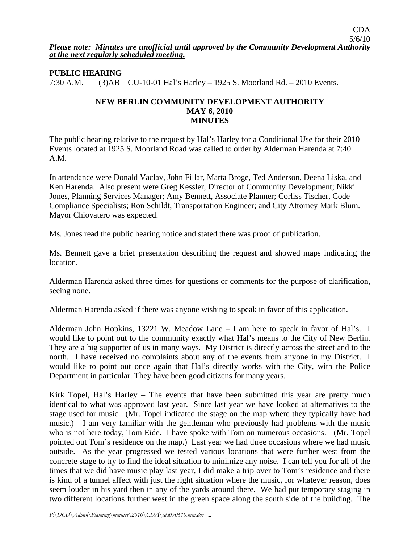# **PUBLIC HEARING**

7:30 A.M. (3)AB CU-10-01 Hal's Harley – 1925 S. Moorland Rd. – 2010 Events.

### **NEW BERLIN COMMUNITY DEVELOPMENT AUTHORITY MAY 6, 2010 MINUTES**

The public hearing relative to the request by Hal's Harley for a Conditional Use for their 2010 Events located at 1925 S. Moorland Road was called to order by Alderman Harenda at 7:40 A.M.

In attendance were Donald Vaclav, John Fillar, Marta Broge, Ted Anderson, Deena Liska, and Ken Harenda. Also present were Greg Kessler, Director of Community Development; Nikki Jones, Planning Services Manager; Amy Bennett, Associate Planner; Corliss Tischer, Code Compliance Specialists; Ron Schildt, Transportation Engineer; and City Attorney Mark Blum. Mayor Chiovatero was expected.

Ms. Jones read the public hearing notice and stated there was proof of publication.

Ms. Bennett gave a brief presentation describing the request and showed maps indicating the location.

Alderman Harenda asked three times for questions or comments for the purpose of clarification, seeing none.

Alderman Harenda asked if there was anyone wishing to speak in favor of this application.

Alderman John Hopkins, 13221 W. Meadow Lane – I am here to speak in favor of Hal's. I would like to point out to the community exactly what Hal's means to the City of New Berlin. They are a big supporter of us in many ways. My District is directly across the street and to the north. I have received no complaints about any of the events from anyone in my District. I would like to point out once again that Hal's directly works with the City, with the Police Department in particular. They have been good citizens for many years.

Kirk Topel, Hal's Harley – The events that have been submitted this year are pretty much identical to what was approved last year. Since last year we have looked at alternatives to the stage used for music. (Mr. Topel indicated the stage on the map where they typically have had music.) I am very familiar with the gentleman who previously had problems with the music who is not here today, Tom Eide. I have spoke with Tom on numerous occasions. (Mr. Topel pointed out Tom's residence on the map.) Last year we had three occasions where we had music outside. As the year progressed we tested various locations that were further west from the concrete stage to try to find the ideal situation to minimize any noise. I can tell you for all of the times that we did have music play last year, I did make a trip over to Tom's residence and there is kind of a tunnel affect with just the right situation where the music, for whatever reason, does seem louder in his yard then in any of the yards around there. We had put temporary staging in two different locations further west in the green space along the south side of the building. The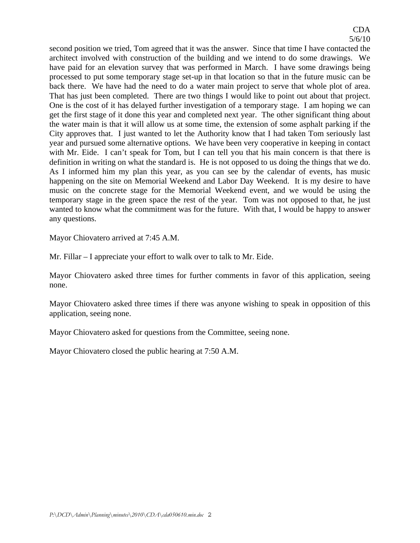second position we tried, Tom agreed that it was the answer. Since that time I have contacted the architect involved with construction of the building and we intend to do some drawings. We have paid for an elevation survey that was performed in March. I have some drawings being processed to put some temporary stage set-up in that location so that in the future music can be back there. We have had the need to do a water main project to serve that whole plot of area. That has just been completed. There are two things I would like to point out about that project. One is the cost of it has delayed further investigation of a temporary stage. I am hoping we can get the first stage of it done this year and completed next year. The other significant thing about the water main is that it will allow us at some time, the extension of some asphalt parking if the City approves that. I just wanted to let the Authority know that I had taken Tom seriously last year and pursued some alternative options. We have been very cooperative in keeping in contact with Mr. Eide. I can't speak for Tom, but I can tell you that his main concern is that there is definition in writing on what the standard is. He is not opposed to us doing the things that we do. As I informed him my plan this year, as you can see by the calendar of events, has music happening on the site on Memorial Weekend and Labor Day Weekend. It is my desire to have music on the concrete stage for the Memorial Weekend event, and we would be using the temporary stage in the green space the rest of the year. Tom was not opposed to that, he just wanted to know what the commitment was for the future. With that, I would be happy to answer any questions.

Mayor Chiovatero arrived at 7:45 A.M.

Mr. Fillar – I appreciate your effort to walk over to talk to Mr. Eide.

Mayor Chiovatero asked three times for further comments in favor of this application, seeing none.

Mayor Chiovatero asked three times if there was anyone wishing to speak in opposition of this application, seeing none.

Mayor Chiovatero asked for questions from the Committee, seeing none.

Mayor Chiovatero closed the public hearing at 7:50 A.M.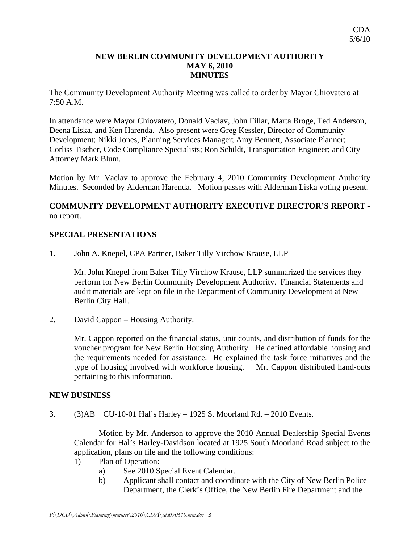#### **NEW BERLIN COMMUNITY DEVELOPMENT AUTHORITY MAY 6, 2010 MINUTES**

The Community Development Authority Meeting was called to order by Mayor Chiovatero at 7:50 A.M.

In attendance were Mayor Chiovatero, Donald Vaclav, John Fillar, Marta Broge, Ted Anderson, Deena Liska, and Ken Harenda. Also present were Greg Kessler, Director of Community Development; Nikki Jones, Planning Services Manager; Amy Bennett, Associate Planner; Corliss Tischer, Code Compliance Specialists; Ron Schildt, Transportation Engineer; and City Attorney Mark Blum.

Motion by Mr. Vaclav to approve the February 4, 2010 Community Development Authority Minutes. Seconded by Alderman Harenda. Motion passes with Alderman Liska voting present.

# **COMMUNITY DEVELOPMENT AUTHORITY EXECUTIVE DIRECTOR'S REPORT**  no report.

### **SPECIAL PRESENTATIONS**

1. John A. Knepel, CPA Partner, Baker Tilly Virchow Krause, LLP

 Mr. John Knepel from Baker Tilly Virchow Krause, LLP summarized the services they perform for New Berlin Community Development Authority. Financial Statements and audit materials are kept on file in the Department of Community Development at New Berlin City Hall.

2. David Cappon – Housing Authority.

Mr. Cappon reported on the financial status, unit counts, and distribution of funds for the voucher program for New Berlin Housing Authority. He defined affordable housing and the requirements needed for assistance. He explained the task force initiatives and the type of housing involved with workforce housing. Mr. Cappon distributed hand-outs pertaining to this information.

#### **NEW BUSINESS**

3. (3)AB CU-10-01 Hal's Harley – 1925 S. Moorland Rd. – 2010 Events.

 Motion by Mr. Anderson to approve the 2010 Annual Dealership Special Events Calendar for Hal's Harley-Davidson located at 1925 South Moorland Road subject to the application, plans on file and the following conditions:

- 1) Plan of Operation:
	- a) See 2010 Special Event Calendar.
	- b) Applicant shall contact and coordinate with the City of New Berlin Police Department, the Clerk's Office, the New Berlin Fire Department and the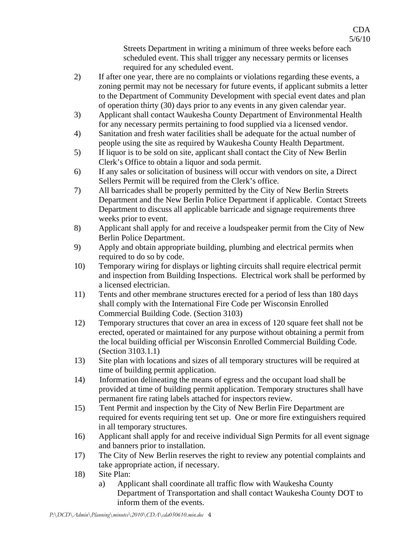Streets Department in writing a minimum of three weeks before each scheduled event. This shall trigger any necessary permits or licenses required for any scheduled event.

CDA 5/6/10

- 2) If after one year, there are no complaints or violations regarding these events, a zoning permit may not be necessary for future events, if applicant submits a letter to the Department of Community Development with special event dates and plan of operation thirty (30) days prior to any events in any given calendar year.
- 3) Applicant shall contact Waukesha County Department of Environmental Health for any necessary permits pertaining to food supplied via a licensed vendor.
- 4) Sanitation and fresh water facilities shall be adequate for the actual number of people using the site as required by Waukesha County Health Department.
- 5) If liquor is to be sold on site, applicant shall contact the City of New Berlin Clerk's Office to obtain a liquor and soda permit.
- 6) If any sales or solicitation of business will occur with vendors on site, a Direct Sellers Permit will be required from the Clerk's office.
- 7) All barricades shall be properly permitted by the City of New Berlin Streets Department and the New Berlin Police Department if applicable. Contact Streets Department to discuss all applicable barricade and signage requirements three weeks prior to event.
- 8) Applicant shall apply for and receive a loudspeaker permit from the City of New Berlin Police Department.
- 9) Apply and obtain appropriate building, plumbing and electrical permits when required to do so by code.
- 10) Temporary wiring for displays or lighting circuits shall require electrical permit and inspection from Building Inspections. Electrical work shall be performed by a licensed electrician.
- 11) Tents and other membrane structures erected for a period of less than 180 days shall comply with the International Fire Code per Wisconsin Enrolled Commercial Building Code. (Section 3103)
- 12) Temporary structures that cover an area in excess of 120 square feet shall not be erected, operated or maintained for any purpose without obtaining a permit from the local building official per Wisconsin Enrolled Commercial Building Code. (Section 3103.1.1)
- 13) Site plan with locations and sizes of all temporary structures will be required at time of building permit application.
- 14) Information delineating the means of egress and the occupant load shall be provided at time of building permit application. Temporary structures shall have permanent fire rating labels attached for inspectors review.
- 15) Tent Permit and inspection by the City of New Berlin Fire Department are required for events requiring tent set up. One or more fire extinguishers required in all temporary structures.
- 16) Applicant shall apply for and receive individual Sign Permits for all event signage and banners prior to installation.
- 17) The City of New Berlin reserves the right to review any potential complaints and take appropriate action, if necessary.
- 18) Site Plan:
	- a) Applicant shall coordinate all traffic flow with Waukesha County Department of Transportation and shall contact Waukesha County DOT to inform them of the events.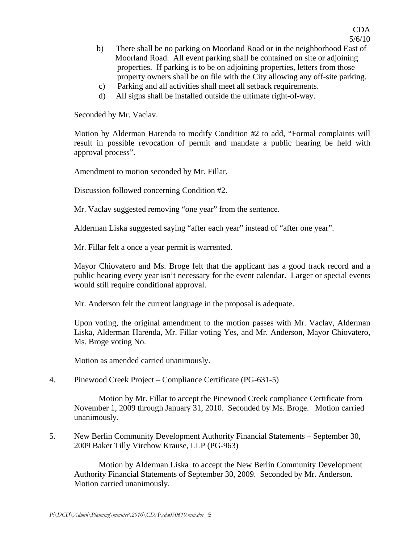- b) There shall be no parking on Moorland Road or in the neighborhood East of Moorland Road. All event parking shall be contained on site or adjoining properties. If parking is to be on adjoining properties, letters from those property owners shall be on file with the City allowing any off-site parking.
- c) Parking and all activities shall meet all setback requirements.
- d) All signs shall be installed outside the ultimate right-of-way.

Seconded by Mr. Vaclav.

Motion by Alderman Harenda to modify Condition #2 to add, "Formal complaints will result in possible revocation of permit and mandate a public hearing be held with approval process".

Amendment to motion seconded by Mr. Fillar.

Discussion followed concerning Condition #2.

Mr. Vaclav suggested removing "one year" from the sentence.

Alderman Liska suggested saying "after each year" instead of "after one year".

Mr. Fillar felt a once a year permit is warrented.

Mayor Chiovatero and Ms. Broge felt that the applicant has a good track record and a public hearing every year isn't necessary for the event calendar. Larger or special events would still require conditional approval.

Mr. Anderson felt the current language in the proposal is adequate.

Upon voting, the original amendment to the motion passes with Mr. Vaclav, Alderman Liska, Alderman Harenda, Mr. Fillar voting Yes, and Mr. Anderson, Mayor Chiovatero, Ms. Broge voting No.

Motion as amended carried unanimously.

4. Pinewood Creek Project – Compliance Certificate (PG-631-5)

 Motion by Mr. Fillar to accept the Pinewood Creek compliance Certificate from November 1, 2009 through January 31, 2010. Seconded by Ms. Broge. Motion carried unanimously.

5. New Berlin Community Development Authority Financial Statements – September 30, 2009 Baker Tilly Virchow Krause, LLP (PG-963)

 Motion by Alderman Liska to accept the New Berlin Community Development Authority Financial Statements of September 30, 2009. Seconded by Mr. Anderson. Motion carried unanimously.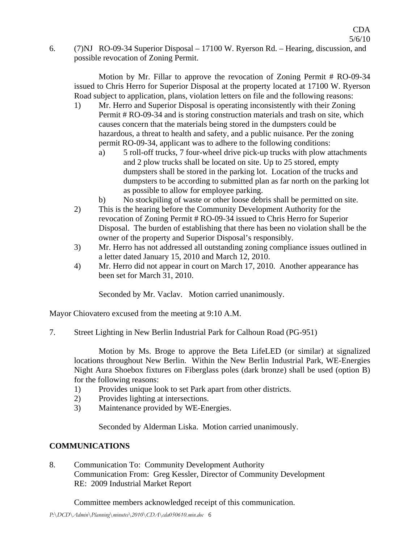6. (7)NJ RO-09-34 Superior Disposal – 17100 W. Ryerson Rd. – Hearing, discussion, and possible revocation of Zoning Permit.

 Motion by Mr. Fillar to approve the revocation of Zoning Permit # RO-09-34 issued to Chris Herro for Superior Disposal at the property located at 17100 W. Ryerson Road subject to application, plans, violation letters on file and the following reasons:

- 1) Mr. Herro and Superior Disposal is operating inconsistently with their Zoning Permit # RO-09-34 and is storing construction materials and trash on site, which causes concern that the materials being stored in the dumpsters could be hazardous, a threat to health and safety, and a public nuisance. Per the zoning permit RO-09-34, applicant was to adhere to the following conditions:
	- a) 5 roll-off trucks, 7 four-wheel drive pick-up trucks with plow attachments and 2 plow trucks shall be located on site. Up to 25 stored, empty dumpsters shall be stored in the parking lot. Location of the trucks and dumpsters to be according to submitted plan as far north on the parking lot as possible to allow for employee parking.
	- b) No stockpiling of waste or other loose debris shall be permitted on site.
- 2) This is the hearing before the Community Development Authority for the revocation of Zoning Permit # RO-09-34 issued to Chris Herro for Superior Disposal. The burden of establishing that there has been no violation shall be the owner of the property and Superior Disposal's responsibly.
- 3) Mr. Herro has not addressed all outstanding zoning compliance issues outlined in a letter dated January 15, 2010 and March 12, 2010.
- 4) Mr. Herro did not appear in court on March 17, 2010. Another appearance has been set for March 31, 2010.

Seconded by Mr. Vaclav. Motion carried unanimously.

Mayor Chiovatero excused from the meeting at 9:10 A.M.

7. Street Lighting in New Berlin Industrial Park for Calhoun Road (PG-951)

 Motion by Ms. Broge to approve the Beta LifeLED (or similar) at signalized locations throughout New Berlin. Within the New Berlin Industrial Park, WE-Energies Night Aura Shoebox fixtures on Fiberglass poles (dark bronze) shall be used (option B) for the following reasons:

- 1) Provides unique look to set Park apart from other districts.
- 2) Provides lighting at intersections.
- 3) Maintenance provided by WE-Energies.

Seconded by Alderman Liska. Motion carried unanimously.

# **COMMUNICATIONS**

8. Communication To: Community Development Authority Communication From: Greg Kessler, Director of Community Development RE: 2009 Industrial Market Report

Committee members acknowledged receipt of this communication.